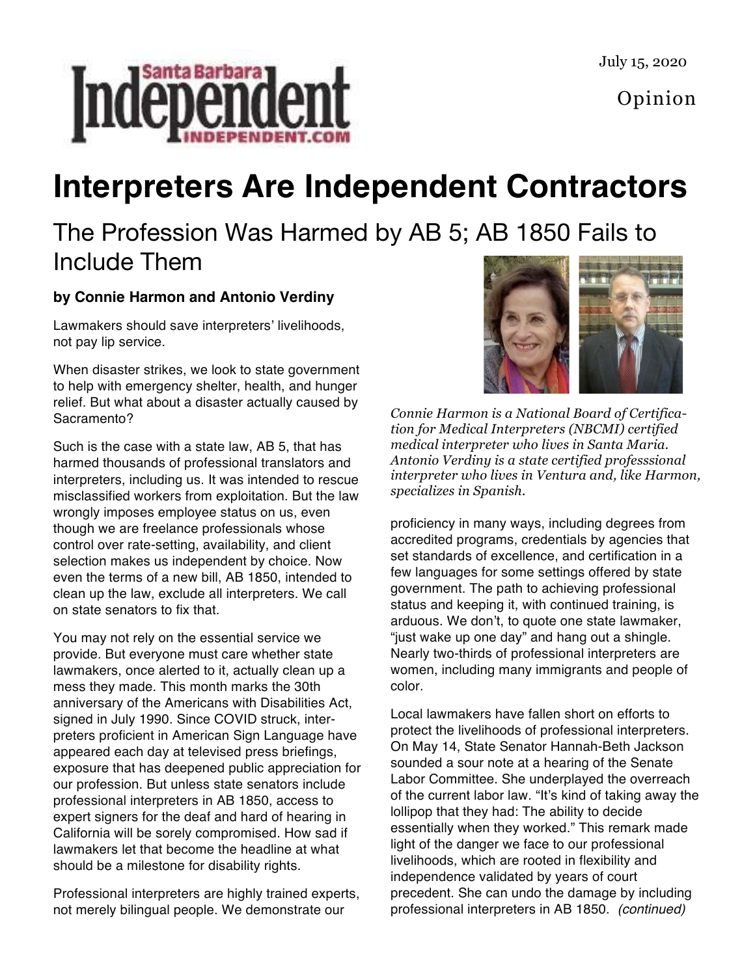July 15, 2020

Opinion



## **Interpreters Are Independent Contractors**

## The Profession Was Harmed by AB 5; AB 1850 Fails to Include Them

## **by Connie Harmon and Antonio Verdiny**

Lawmakers should save interpreters' livelihoods, not pay lip service.

When disaster strikes, we look to state government to help with emergency shelter, health, and hunger relief. But what about a disaster actually caused by Sacramento?

Such is the case with a state law, AB 5, that has harmed thousands of professional translators and interpreters, including us. It was intended to rescue misclassified workers from exploitation. But the law wrongly imposes employee status on us, even though we are freelance professionals whose control over rate-setting, availability, and client selection makes us independent by choice. Now even the terms of a new bill, AB 1850, intended to clean up the law, exclude all interpreters. We call on state senators to fix that.

You may not rely on the essential service we provide. But everyone must care whether state lawmakers, once alerted to it, actually clean up a mess they made. This month marks the 30th anniversary of the Americans with Disabilities Act, signed in July 1990. Since COVID struck, interpreters proficient in American Sign Language have appeared each day at televised press briefings, exposure that has deepened public appreciation for our profession. But unless state senators include professional interpreters in AB 1850, access to expert signers for the deaf and hard of hearing in California will be sorely compromised. How sad if lawmakers let that become the headline at what should be a milestone for disability rights.

Professional interpreters are highly trained experts, not merely bilingual people. We demonstrate our



*Connie Harmon is a National Board of Certification for Medical Interpreters (NBCMI) certified medical interpreter who lives in Santa Maria. Antonio Verdiny is a state certified professsional interpreter who lives in Ventura and, like Harmon, specializes in Spanish.*

proficiency in many ways, including degrees from accredited programs, credentials by agencies that set standards of excellence, and certification in a few languages for some settings offered by state government. The path to achieving professional status and keeping it, with continued training, is arduous. We don't, to quote one state lawmaker, "just wake up one day" and hang out a shingle. Nearly two-thirds of professional interpreters are women, including many immigrants and people of color.

Local lawmakers have fallen short on efforts to protect the livelihoods of professional interpreters. On May 14, State Senator Hannah-Beth Jackson sounded a sour note at a hearing of the Senate Labor Committee. She underplayed the overreach of the current labor law. "It's kind of taking away the lollipop that they had: The ability to decide essentially when they worked." This remark made light of the danger we face to our professional livelihoods, which are rooted in flexibility and independence validated by years of court precedent. She can undo the damage by including professional interpreters in AB 1850. (continued)